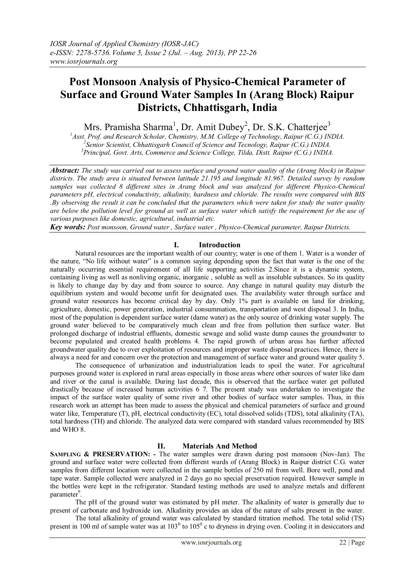# **Post Monsoon Analysis of Physico-Chemical Parameter of Surface and Ground Water Samples In (Arang Block) Raipur Districts, Chhattisgarh, India**

Mrs. Pramisha Sharma<sup>1</sup>, Dr. Amit Dubey<sup>2</sup>, Dr. S.K. Chatterjee<sup>3</sup>

*<sup>1</sup>Asst. Prof. and Research Scholar, Chemistry, M.M. College of Technology, Raipur (C.G.) INDIA. 2 Senior Scientist, Chhattisgarh Council of Science and Tecnology, Raipur (C.G.) INDIA.*

*<sup>3</sup>Principal, Govt. Arts, Commerce and Science College, Tilda, Distt. Raipur (C.G.) INDIA.*

*Abstract: The study was carried out to assess surface and ground water quality of the (Arang block) in Raipur districts. The study area is situated between latitude 21.195 and longitude 81.967. Detailed survey by random samples was collected 8 different sites in Arang block and was analyzed for different Physico-Chemical parameters pH, electrical conductivity, alkalinity, hardness and chloride. The results were compared with BIS .By observing the result it can be concluded that the parameters which were taken for study the water quality are below the pollution level for ground as well as surface water which satisfy the requirement for the use of various purposes like domestic, agricultural, industrial etc.*

*Key words: Post monsoon, Ground water , Surface water , Physico-Chemical parameter, Raipur Districts.*

## **I. Introduction**

Natural resources are the important wealth of our country; water is one of them 1. Water is a wonder of the nature, "No life without water" is a common saying depending upon the fact that water is the one of the naturally occurring essential requirement of all life supporting activities 2.Since it is a dynamic system, containing living as well as nonliving organic, inorganic , soluble as well as insoluble substances. So its quality is likely to change day by day and from source to source. Any change in natural quality may disturb the equilibrium system and would become unfit for designated uses. The availability water through surface and ground water resources has become critical day by day. Only 1% part is available on land for drinking, agriculture, domestic, power generation, industrial consummation, transportation and west disposal 3. In India, most of the population is dependent surface water (dame water) as the only source of drinking water supply. The ground water believed to be comparatively much clean and free from pollution then surface water. But prolonged discharge of industrial effluents, domestic sewage and solid waste dump causes the groundwater to become populated and created health problems 4. The rapid growth of urban areas has further affected groundwater quality due to over exploitation of resources and improper waste disposal practices. Hence, there is always a need for and concern over the protection and management of surface water and ground water quality 5.

The consequence of urbanization and industrialization leads to spoil the water. For agricultural purposes ground water is explored in rural areas especially in those areas where other sources of water like dam and river or the canal is available. During last decade, this is observed that the surface water get polluted drastically because of increased human activities 6 7. The present study was undertaken to investigate the impact of the surface water quality of some river and other bodies of surface water samples. Thus, in this research work an attempt has been made to assess the physical and chemical parameters of surface and ground water like, Temperature (T), pH, electrical conductivity (EC), total dissolved solids (TDS), total alkalinity (TA), total hardness (TH) and chloride. The analyzed data were compared with standard values recommended by BIS and WHO 8.

# **II. Materials And Method**

**SAMPLING & PRESERVATION: -** The water samples were drawn during post monsoon (Nov-Jan). The ground and surface water were collected from different wards of (Arang Block) in Raipur district C.G. water samples from different location were collected in the sample bottles of 250 ml from well. Bore well, pond and tape water. Sample collected were analyzed in 2 days go no special preservation required. However sample in the bottles were kept in the refrigerator. Standard testing methods are used to analyze metals and different parameter<sup>9</sup>.

The pH of the ground water was estimated by pH meter. The alkalinity of water is generally due to present of carbonate and hydroxide ion. Alkalinity provides an idea of the nature of salts present in the water.

The total alkalinity of ground water was calculated by standard titration method. The total solid (TS) present in 100 ml of sample water was at  $103^{\circ}$  to  $105^{\circ}$  c to dryness in drying oven. Cooling it in desiccators and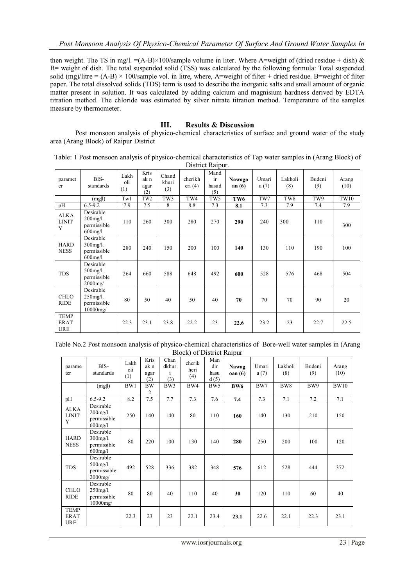then weight. The TS in mg/l.  $=(A-B) \times 100$ /sample volume in liter. Where A=weight of (dried residue + dish) & B= weight of dish. The total suspended solid (TSS) was calculated by the following formula: Total suspended solid (mg)/litre =  $(A-B) \times 100$ /sample vol. in litre, where, A=weight of filter + dried residue. B=weight of filter paper. The total dissolved solids (TDS) term is used to describe the inorganic salts and small amount of organic matter present in solution. It was calculated by adding calcium and magnisium hardness derived by EDTA titration method. The chloride was estimated by silver nitrate titration method. Temperature of the samples measure by thermometer.

## **III. Results & Discussion**

Post monsoon analysis of physico-chemical characteristics of surface and ground water of the study area (Arang Block) of Raipur District

| Table: 1 Post monsoon analysis of physico-chemical characteristics of Tap water samples in (Arang Block) of |
|-------------------------------------------------------------------------------------------------------------|
| District Raipur.                                                                                            |

| paramet<br>er                            | BIS-<br>standards                                     | Lakh<br>oli<br>(1) | Kris<br>ak n<br>agar<br>(2) | Chand<br>khuri<br>(3) | cherikh<br>eri $(4)$ | Mand<br>ir<br>hasud<br>(5) | <b>Nawago</b><br>an $(6)$ | Umari<br>a(7) | Lakholi<br>(8) | Budeni<br>(9) | Arang<br>(10) |
|------------------------------------------|-------------------------------------------------------|--------------------|-----------------------------|-----------------------|----------------------|----------------------------|---------------------------|---------------|----------------|---------------|---------------|
|                                          | (mgl)                                                 | Tw1                | TW <sub>2</sub>             | TW3                   | TW4                  | TW5                        | TW <sub>6</sub>           | TW7           | TW8            | TW9           | TW10          |
| pH                                       | $6.5 - 9.2$                                           | 7.9                | 7.5                         | 8                     | 8.8                  | 7.3                        | 8.1                       | 7.3           | 7.9            | 7.4           | 7.9           |
| ALKA<br><b>LINIT</b><br>Y                | Desirable<br>$200$ mg/l.<br>permissible<br>$600$ mg/l | 110                | 260                         | 300                   | 280                  | 270                        | 290                       | 240           | 300            | 110           | 300           |
| <b>HARD</b><br><b>NESS</b>               | Desirable<br>$300$ mg/l.<br>permissible<br>$600$ mg/l | 280                | 240                         | 150                   | 200                  | 100                        | 140                       | 130           | 110            | 190           | 100           |
| <b>TDS</b>                               | Desirable<br>$500$ mg/l.<br>permissible<br>$2000$ mg/ | 264                | 660                         | 588                   | 648                  | 492                        | 600                       | 528           | 576            | 468           | 504           |
| <b>CHLO</b><br><b>RIDE</b>               | Desirable<br>$250$ mg/l.<br>permissible<br>10000mg/   | 80                 | 50                          | 40                    | 50                   | 40                         | 70                        | 70            | 70             | 90            | 20            |
| <b>TEMP</b><br><b>ERAT</b><br><b>URE</b> |                                                       | 22.3               | 23.1                        | 23.8                  | 22.2                 | 23                         | 22.6                      | 23.2          | 23             | 22.7          | 22.5          |

| Table No.2 Post monsoon analysis of physico-chemical characteristics of Bore-well water samples in (Arang |                           |  |  |
|-----------------------------------------------------------------------------------------------------------|---------------------------|--|--|
|                                                                                                           | Block) of District Raipur |  |  |

| parame<br>ter                            | BIS-<br>standards                                      | Lakh<br>oli<br>(1) | Kris<br>ak n<br>agar<br>(2) | Chan<br>dkhur<br>$\mathbf{1}$<br>(3) | cherik<br>heri<br>(4) | Man<br>dir<br>hasu<br>d(5) | Nawag<br>oan(6) | Umari<br>a(7) | Lakholi<br>(8) | Budeni<br>(9) | Arang<br>(10) |
|------------------------------------------|--------------------------------------------------------|--------------------|-----------------------------|--------------------------------------|-----------------------|----------------------------|-----------------|---------------|----------------|---------------|---------------|
|                                          | (mgl)                                                  | BW1                | <b>BW</b><br>$\overline{2}$ | BW3                                  | BW4                   | BW <sub>5</sub>            | <b>BW6</b>      | BW7           | BW8            | BW9           | <b>BW10</b>   |
| pH                                       | $6.5 - 9.2$                                            | 8.2                | 7.5                         | 7.7                                  | 7.3                   | 7.6                        | 7.4             | 7.3           | 7.1            | 7.2           | 7.1           |
| <b>ALKA</b><br><b>LINIT</b><br>Y         | Desirable<br>$200$ mg/l.<br>permissible<br>$600$ mg/l  | 250                | 140                         | 140                                  | 80                    | 110                        | 160             | 140           | 130            | 210           | 150           |
| <b>HARD</b><br><b>NESS</b>               | Desirable<br>300mg/l.<br>permissible<br>$600$ mg/l     | 80                 | 220                         | 100                                  | 130                   | 140                        | 280             | 250           | 200            | 100           | 120           |
| <b>TDS</b>                               | Desirable<br>$500$ mg/l.<br>permissable<br>$2000$ mg/  | 492                | 528                         | 336                                  | 382                   | 348                        | 576             | 612           | 528            | 444           | 372           |
| <b>CHLO</b><br><b>RIDE</b>               | Desirable<br>$250$ mg/l.<br>permissible<br>$10000$ mg/ | 80                 | 80                          | 40                                   | 110                   | 40                         | 30              | 120           | 110            | 60            | 40            |
| <b>TEMP</b><br><b>ERAT</b><br><b>URE</b> |                                                        | 22.3               | 23                          | 23                                   | 22.1                  | 23.4                       | 23.1            | 22.6          | 22.1           | 22.3          | 23.1          |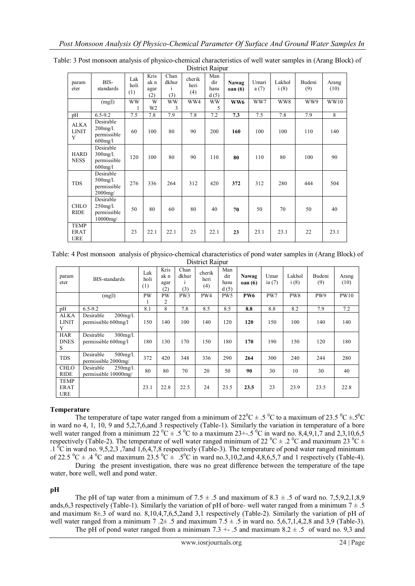| param<br>eter                            | BIS-<br>standards                                         | Lak<br>holi<br>(1) | Kris<br>ak n<br>agar<br>(2) | Chan<br>dkhur<br>$\mathbf{1}$<br>(3) | cherik<br>heri<br>(4) | Man<br>dir<br>hasu<br>d(5) | Nawag<br>oan(6) | Umari<br>a(7) | Lakhol<br>i(8) | Budeni<br>(9) | Arang<br>(10) |
|------------------------------------------|-----------------------------------------------------------|--------------------|-----------------------------|--------------------------------------|-----------------------|----------------------------|-----------------|---------------|----------------|---------------|---------------|
|                                          | (mgl)                                                     | <b>WW</b>          | W<br>W <sub>2</sub>         | <b>WW</b><br>3                       | WW4                   | <b>WW</b><br>5             | WW6             | WW7           | WW8            | WW9           | WW10          |
| pH                                       | $6.5 - 9.2$                                               | 7.5                | 7.8                         | 7.9                                  | 7.8                   | 7.2                        | 7.3             | 7.5           | 7.8            | 7.9           | 8             |
| <b>ALKA</b><br><b>LINIT</b><br>Y         | Desirable<br>$200$ mg/l.<br>permissible<br>$600$ mg/l     | 60                 | 100                         | 80                                   | 90                    | 200                        | 160             | 100           | 100            | 110           | 140           |
| <b>HARD</b><br><b>NESS</b>               | Desirable<br>$300$ mg/l.<br>permissible<br>$600$ mg/l     | 120                | 100                         | 80                                   | 90                    | 110                        | 80              | 110           | 80             | 100           | 90            |
| <b>TDS</b>                               | Desirable<br>$500$ mg/l.<br>permissible<br>$2000$ mg/     | 276                | 336                         | 264                                  | 312                   | 420                        | 372             | 312           | 280            | 444           | 504           |
| <b>CHLO</b><br><b>RIDE</b>               | Desirable<br>$250$ mg/l.<br>permissible<br>$10000$ mg $/$ | 50                 | 80                          | 60                                   | 80                    | 40                         | 70              | 50            | 70             | 50            | 40            |
| <b>TEMP</b><br><b>ERAT</b><br><b>URE</b> |                                                           | 23                 | 22.1                        | 22.1                                 | 23                    | 22.1                       | 23              | 23.1          | 23.1           | 22            | 23.1          |

Table: 3 Post monsoon analysis of physico-chemical characteristics of well water samples in (Arang Block) of District Raipur

Table: 4 Post monsoon analysis of physico-chemical characteristics of pond water samples in (Arang Block) of District Raipur

| param<br>eter                     | BIS-standards                                    | Lak<br>holi<br>(1) | Kris<br>ak n<br>agar<br>(2) | Chan<br>dkhur<br>(3) | cherik<br>heri<br>(4) | Man<br>dir<br>hasu<br>d(5) | Nawag<br>oan(6) | Umar<br>ia $(7)$ | Lakhol<br>i(8) | Budeni<br>(9) | Arang<br>(10) |  |
|-----------------------------------|--------------------------------------------------|--------------------|-----------------------------|----------------------|-----------------------|----------------------------|-----------------|------------------|----------------|---------------|---------------|--|
|                                   | (mg l)                                           | <b>PW</b><br>1     | <b>PW</b><br>2              | PW3                  | PW4                   | PW <sub>5</sub>            | <b>PW6</b>      | PW7              | PW8            | PW9           | <b>PW10</b>   |  |
| pH                                | $6.5 - 9.2$                                      | 8.1                | 8                           | 7.8                  | 8.5                   | 8.5                        | 8.8             | 8.8              | 8.2            | 7.9           | 7.2           |  |
| ALKA<br><b>LINIT</b><br>Y         | Desirable<br>$200$ mg/l.<br>permissible 600mg/l  | 150                | 140                         | 100                  | 140                   | 120                        | 120             | 150              | 100            | 140           | 140           |  |
| <b>HAR</b><br><b>DNES</b><br>S.   | Desirable<br>$300$ mg/l.<br>permissible 600mg/l  | 180                | 130                         | 170                  | 150                   | 180                        | 170             | 190              | 150            | 120           | 180           |  |
| <b>TDS</b>                        | Desirable<br>$500$ mg/l.<br>permissible 2000mg/  | 372                | 420                         | 348                  | 336                   | 290                        | 264             | 300              | 240            | 244           | 280           |  |
| <b>CHLO</b><br><b>RIDE</b>        | Desirable<br>$250$ mg/l.<br>permissible 10000mg/ | 80                 | 80                          | 70                   | 20                    | 50                         | 90              | 30               | 10             | 30            | 40            |  |
| TEMP<br><b>ERAT</b><br><b>URE</b> |                                                  | 23.1               | 22.8                        | 22.5                 | 24                    | 23.5                       | 23.5            | 23               | 23.9           | 23.5          | 22.8          |  |

## **Temperature**

The temperature of tape water ranged from a minimum of 22<sup>o</sup>C  $\pm$  .5<sup>o</sup>C to a maximum of 23.5<sup>o</sup>C  $\pm$ .5<sup>o</sup>C in ward no 4, 1, 10, 9 and 5,2,7,6,and 3 respectively (Table-1). Similarly the variation in temperature of a bore well water ranged from a minimum 22  ${}^{0}C \pm .5 {}^{0}C$  to a maximum 23+-.5  ${}^{0}C$  in ward no. 8,4,9,1,7 and 2,3,10,6,5 respectively (Table-2). The temperature of well water ranged minimum of 22  $^0C \pm .2^0C$  and maximum 23  $^0C \pm$  $1^{6}$ C in ward no. 9,5,2,3 ,7and 1,6,4,7,8 respectively (Table-3). The temperature of pond water ranged minimum of 22.5  $^0C \pm .4$   $^0C$  and maximum 23.5  $^0C \pm .5$  $^0C$  in ward no.3,10,2,and 4,8,6,5,7 and 1 respectively (Table-4).

During the present investigation, there was no great difference between the temperature of the tape water, bore well, well and pond water.

**pH**

The pH of tap water from a minimum of  $7.5 \pm .5$  and maximum of  $8.3 \pm .5$  of ward no. 7,5,9,2,1,8,9 ands,6,3 respectively (Table-1). Similarly the variation of pH of bore- well water ranged from a minimum  $7 \pm .5$ and maximum 8±.3 of ward no. 8,10,4,7,6,5,2and 3,1 respectively (Table-2). Similarly the variation of pH of well water ranged from a minimum 7 .2 $\pm$  .5 and maximum 7.5  $\pm$  .5 in ward no. 5,6,7,1,4,2,8 and 3,9 (Table-3). The pH of pond water ranged from a minimum 7.3 +  $\cdot$  5 and maximum 8.2  $\pm$  5 of ward no. 9.3 and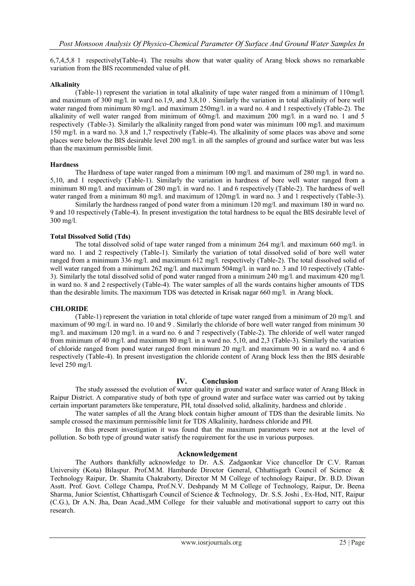6,7,4,5,8 1 respectively(Table-4). The results show that water quality of Arang block shows no remarkable variation from the BIS recommended value of pH.

## **Alkalinity**

(Table-1) represent the variation in total alkalinity of tape water ranged from a minimum of 110mg/l. and maximum of 300 mg/l. in ward no.1,9, and 3,8,10 . Similarly the variation in total alkalinity of bore well water ranged from minimum 80 mg/l. and maximum 250mg/l. in a ward no. 4 and 1 respectively (Table-2). The alkalinity of well water ranged from minimum of 60mg/l. and maximum 200 mg/l. in a ward no. 1 and 5 respectively (Table-3). Similarly the alkalinity ranged from pond water was minimum 100 mg/l. and maximum 150 mg/l. in a ward no. 3,8 and 1,7 respectively (Table-4). The alkalinity of some places was above and some places were below the BIS desirable level 200 mg/l. in all the samples of ground and surface water but was less than the maximum permissible limit.

### **Hardness**

The Hardness of tape water ranged from a minimum 100 mg/l. and maximum of 280 mg/l. in ward no. 5,10, and 1 respectively (Table-1). Similarly the variation in hardness of bore well water ranged from a minimum 80 mg/l. and maximum of 280 mg/l. in ward no. 1 and 6 respectively (Table-2). The hardness of well water ranged from a minimum 80 mg/l. and maximum of  $120$ mg/l. in ward no. 3 and 1 respectively (Table-3).

Similarly the hardness ranged of pond water from a minimum 120 mg/l. and maximum 180 in ward no. 9 and 10 respectively (Table-4). In present investigation the total hardness to be equal the BIS desirable level of 300 mg/l.

## **Total Dissolved Solid (Tds)**

The total dissolved solid of tape water ranged from a minimum 264 mg/l. and maximum 660 mg/l. in ward no. 1 and 2 respectively (Table-1). Similarly the variation of total dissolved solid of bore well water ranged from a minimum 336 mg/l. and maximum 612 mg/l. respectively (Table-2). The total dissolved solid of well water ranged from a minimum 262 mg/l. and maximum 504mg/l. in ward no. 3 and 10 respectively (Table-3). Similarly the total dissolved solid of pond water ranged from a minimum 240 mg/l. and maximum 420 mg/l. in ward no. 8 and 2 respectively (Table-4). The water samples of all the wards contains higher amounts of TDS than the desirable limits. The maximum TDS was detected in Krisak nagar 660 mg/l. in Arang block.

### **CHLORIDE**

(Table-1) represent the variation in total chloride of tape water ranged from a minimum of 20 mg/l. and maximum of 90 mg/l. in ward no. 10 and 9 . Similarly the chloride of bore well water ranged from minimum 30 mg/l. and maximum 120 mg/l. in a ward no. 6 and 7 respectively (Table-2). The chloride of well water ranged from minimum of 40 mg/l. and maximum 80 mg/l. in a ward no. 5,10, and 2,3 (Table-3). Similarly the variation of chloride ranged from pond water ranged from minimum 20 mg/l. and maximum 90 in a ward no. 4 and 6 respectively (Table-4). In present investigation the chloride content of Arang block less then the BIS desirable level 250 mg/l.

### **IV. Conclusion**

The study assessed the evolution of water quality in ground water and surface water of Arang Block in Raipur District. A comparative study of both type of ground water and surface water was carried out by taking certain important parameters like temperature, PH, total dissolved solid, alkalinity, hardness and chloride .

The water samples of all the Arang block contain higher amount of TDS than the desirable limits. No sample crossed the maximum permissible limit for TDS Alkalinity, hardness chloride and PH.

In this present investigation it was found that the maximum parameters were not at the level of pollution. So both type of ground water satisfy the requirement for the use in various purposes.

### **Acknowledgement**

The Authors thankfully acknowledge to Dr. A.S. Zadgaonkar Vice chancellor Dr C.V. Raman University (Kota) Bilaspur. Prof.M.M. Hambarde Diroctor General, Chhattisgarh Council of Science & Technology Raipur, Dr. Shamita Chakraborty, Director M M College of technology Raipur, Dr. B.D. Diwan Asstt. Prof. Govt. College Champa, Prof.N.V. Deshpandy M M College of Technology, Raipur, Dr. Beena Sharma, Junior Scientist, Chhattisgarh Council of Science & Technology, Dr. S.S. Joshi , Ex-Hod, NIT, Raipur (C.G.), Dr A.N. Jha, Dean Acad.,MM College for their valuable and motivational support to carry out this research.